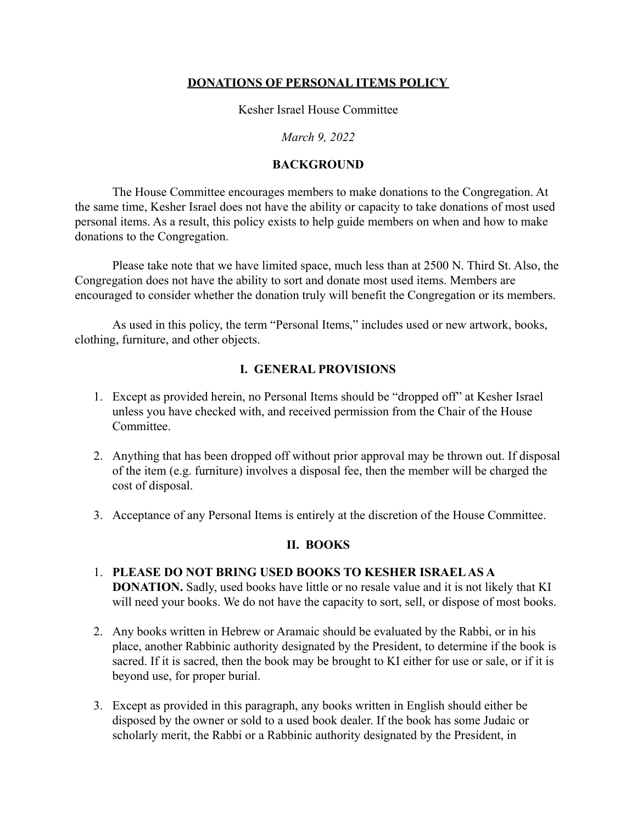### **DONATIONS OF PERSONAL ITEMS POLICY**

Kesher Israel House Committee

*March 9, 2022*

#### **BACKGROUND**

The House Committee encourages members to make donations to the Congregation. At the same time, Kesher Israel does not have the ability or capacity to take donations of most used personal items. As a result, this policy exists to help guide members on when and how to make donations to the Congregation.

Please take note that we have limited space, much less than at 2500 N. Third St. Also, the Congregation does not have the ability to sort and donate most used items. Members are encouraged to consider whether the donation truly will benefit the Congregation or its members.

As used in this policy, the term "Personal Items," includes used or new artwork, books, clothing, furniture, and other objects.

### **I. GENERAL PROVISIONS**

- 1. Except as provided herein, no Personal Items should be "dropped off" at Kesher Israel unless you have checked with, and received permission from the Chair of the House **Committee**
- 2. Anything that has been dropped off without prior approval may be thrown out. If disposal of the item (e.g. furniture) involves a disposal fee, then the member will be charged the cost of disposal.
- 3. Acceptance of any Personal Items is entirely at the discretion of the House Committee.

#### **II. BOOKS**

- 1. **PLEASE DO NOT BRING USED BOOKS TO KESHER ISRAEL AS A DONATION.** Sadly, used books have little or no resale value and it is not likely that KI will need your books. We do not have the capacity to sort, sell, or dispose of most books.
- 2. Any books written in Hebrew or Aramaic should be evaluated by the Rabbi, or in his place, another Rabbinic authority designated by the President, to determine if the book is sacred. If it is sacred, then the book may be brought to KI either for use or sale, or if it is beyond use, for proper burial.
- 3. Except as provided in this paragraph, any books written in English should either be disposed by the owner or sold to a used book dealer. If the book has some Judaic or scholarly merit, the Rabbi or a Rabbinic authority designated by the President, in